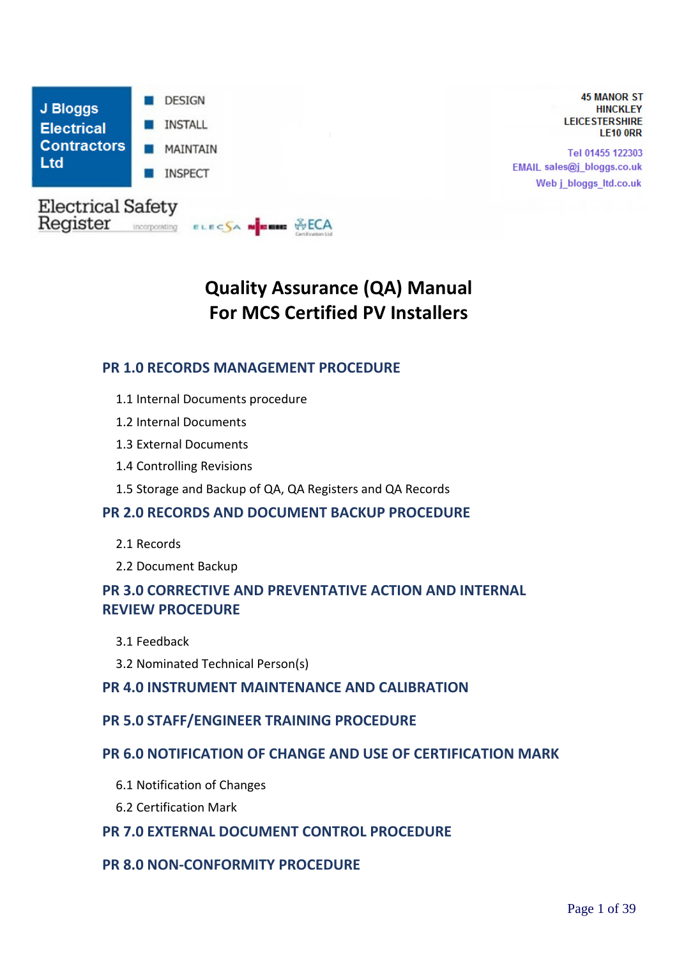

**45 MANOR ST HINCKLEY LEICESTERSHIRE LE10 ORR** 

Tel 01455 122303 EMAIL sales@j\_bloggs.co.uk Web j\_bloggs\_ltd.co.uk

# **Quality Assurance (QA) Manual For MCS Certified PV Installers**

# **PR 1.0 RECORDS MANAGEMENT PROCEDURE**

- 1.1 Internal Documents procedure
- 1.2 Internal Documents
- 1.3 External Documents
- 1.4 Controlling Revisions
- 1.5 Storage and Backup of QA, QA Registers and QA Records

#### **PR 2.0 RECORDS AND DOCUMENT BACKUP PROCEDURE**

- 2.1 Records
- 2.2 Document Backup

# **PR 3.0 CORRECTIVE AND PREVENTATIVE ACTION AND INTERNAL REVIEW PROCEDURE**

- 3.1 Feedback
- 3.2 Nominated Technical Person(s)

#### **PR 4.0 INSTRUMENT MAINTENANCE AND CALIBRATION**

#### **PR 5.0 STAFF/ENGINEER TRAINING PROCEDURE**

#### **PR 6.0 NOTIFICATION OF CHANGE AND USE OF CERTIFICATION MARK**

- 6.1 Notification of Changes
- 6.2 Certification Mark

#### **PR 7.0 EXTERNAL DOCUMENT CONTROL PROCEDURE**

#### **PR 8.0 NON-CONFORMITY PROCEDURE**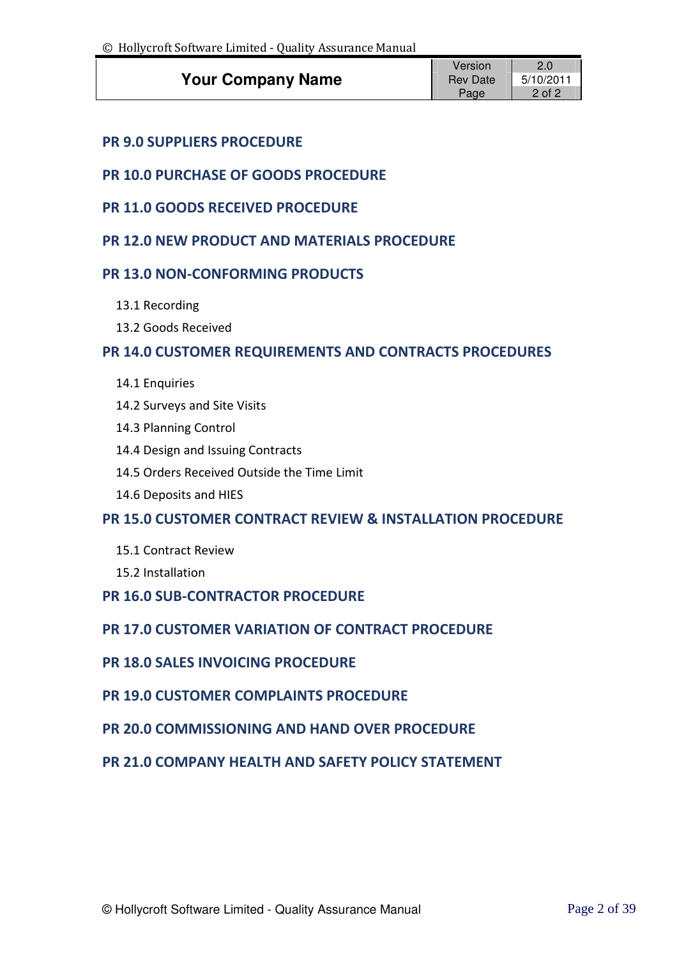|                          | Version            |        |
|--------------------------|--------------------|--------|
| <b>Your Company Name</b> | Rev Date 5/10/2011 |        |
|                          | Page               | 2 of 2 |

# **PR 9.0 SUPPLIERS PROCEDURE**

# **PR 10.0 PURCHASE OF GOODS PROCEDURE**

- **PR 11.0 GOODS RECEIVED PROCEDURE**
- **PR 12.0 NEW PRODUCT AND MATERIALS PROCEDURE**

# **PR 13.0 NON-CONFORMING PRODUCTS**

- 13.1 Recording
- 13.2 Goods Received

# **PR 14.0 CUSTOMER REQUIREMENTS AND CONTRACTS PROCEDURES**

- 14.1 Enquiries
- 14.2 Surveys and Site Visits
- 14.3 Planning Control
- 14.4 Design and Issuing Contracts
- 14.5 Orders Received Outside the Time Limit
- 14.6 Deposits and HIES

# **PR 15.0 CUSTOMER CONTRACT REVIEW & INSTALLATION PROCEDURE**

- 15.1 Contract Review
- 15.2 Installation
- **PR 16.0 SUB-CONTRACTOR PROCEDURE**

# **PR 17.0 CUSTOMER VARIATION OF CONTRACT PROCEDURE**

- **PR 18.0 SALES INVOICING PROCEDURE**
- **PR 19.0 CUSTOMER COMPLAINTS PROCEDURE**
- **PR 20.0 COMMISSIONING AND HAND OVER PROCEDURE**

# **PR 21.0 COMPANY HEALTH AND SAFETY POLICY STATEMENT**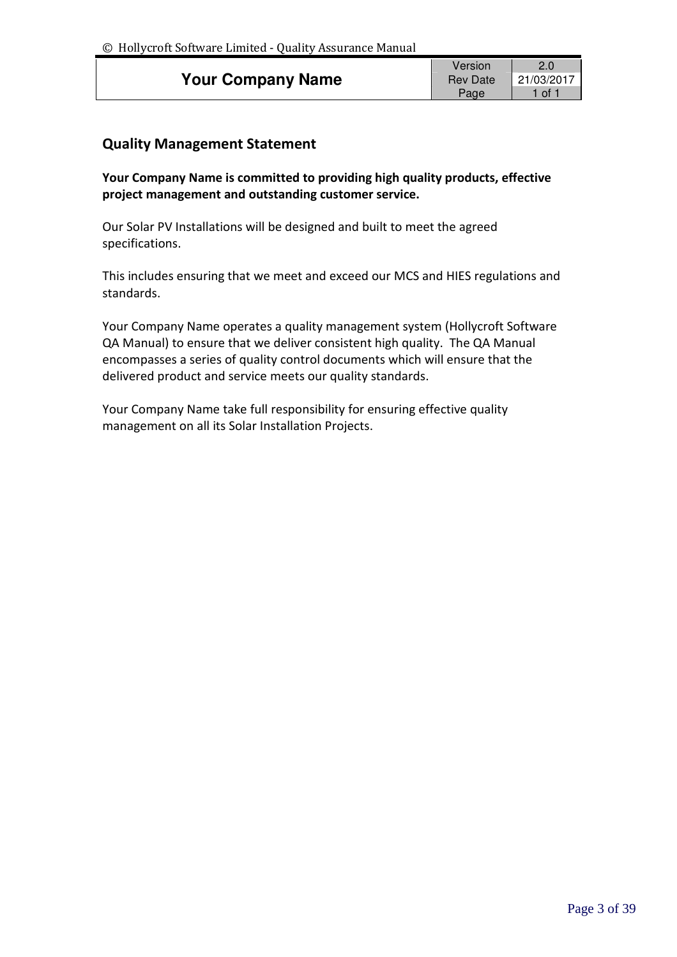|                          | Version               |        |
|--------------------------|-----------------------|--------|
| <b>Your Company Name</b> | Rev Date   21/03/2017 |        |
|                          | Page                  | 1 ot 1 |

# **Quality Management Statement**

**Your Company Name is committed to providing high quality products, effective project management and outstanding customer service.**

Our Solar PV Installations will be designed and built to meet the agreed specifications.

This includes ensuring that we meet and exceed our MCS and HIES regulations and standards.

Your Company Name operates a quality management system (Hollycroft Software QA Manual) to ensure that we deliver consistent high quality. The QA Manual encompasses a series of quality control documents which will ensure that the delivered product and service meets our quality standards.

Your Company Name take full responsibility for ensuring effective quality management on all its Solar Installation Projects.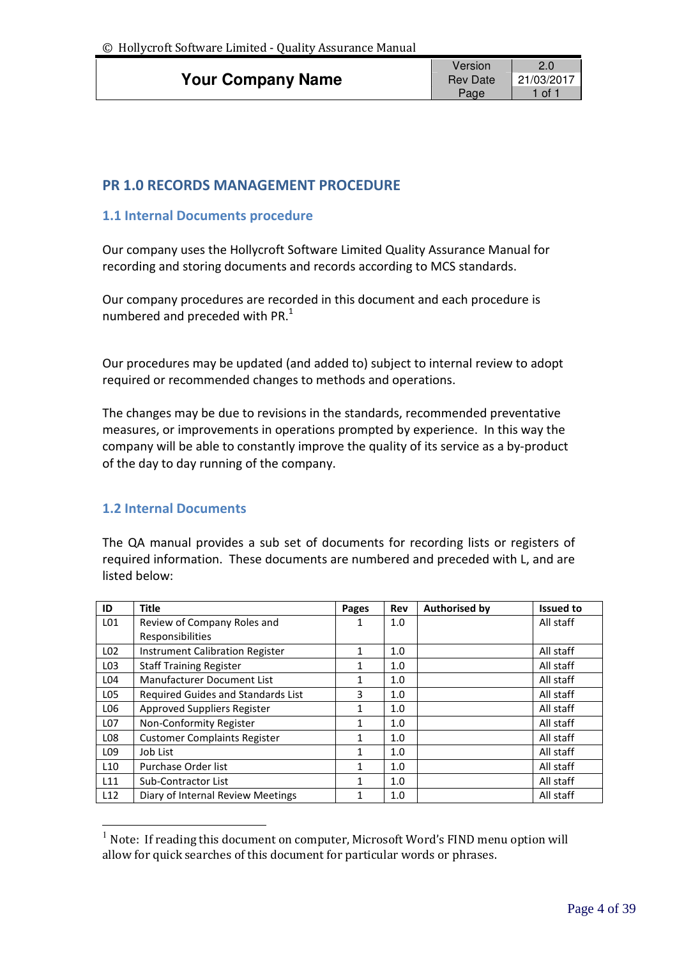|                          | Version             |        |
|--------------------------|---------------------|--------|
| <b>Your Company Name</b> | Rev Date 21/03/2017 |        |
|                          | Page                | 1 of 1 |

# **PR 1.0 RECORDS MANAGEMENT PROCEDURE**

#### **1.1 Internal Documents procedure**

Our company uses the Hollycroft Software Limited Quality Assurance Manual for recording and storing documents and records according to MCS standards.

Our company procedures are recorded in this document and each procedure is numbered and preceded with PR. $<sup>1</sup>$ </sup>

Our procedures may be updated (and added to) subject to internal review to adopt required or recommended changes to methods and operations.

The changes may be due to revisions in the standards, recommended preventative measures, or improvements in operations prompted by experience. In this way the company will be able to constantly improve the quality of its service as a by-product of the day to day running of the company.

#### **1.2 Internal Documents**

 $\overline{a}$ 

The QA manual provides a sub set of documents for recording lists or registers of required information. These documents are numbered and preceded with L, and are listed below:

| ID               | <b>Title</b>                              | Pages | Rev | <b>Authorised by</b> | <b>Issued to</b> |
|------------------|-------------------------------------------|-------|-----|----------------------|------------------|
| L <sub>01</sub>  | Review of Company Roles and               |       | 1.0 |                      | All staff        |
|                  | Responsibilities                          |       |     |                      |                  |
| L <sub>02</sub>  | <b>Instrument Calibration Register</b>    | 1     | 1.0 |                      | All staff        |
| L <sub>03</sub>  | <b>Staff Training Register</b>            |       | 1.0 |                      | All staff        |
| L <sub>04</sub>  | Manufacturer Document List                | 1     | 1.0 |                      | All staff        |
| L <sub>05</sub>  | <b>Required Guides and Standards List</b> | 3     | 1.0 |                      | All staff        |
| L06              | Approved Suppliers Register               | 1     | 1.0 |                      | All staff        |
| L <sub>07</sub>  | Non-Conformity Register                   | 1     | 1.0 |                      | All staff        |
| L <sub>0</sub> 8 | <b>Customer Complaints Register</b>       | 1     | 1.0 |                      | All staff        |
| L <sub>09</sub>  | Job List                                  | 1     | 1.0 |                      | All staff        |
| L10              | Purchase Order list                       |       | 1.0 |                      | All staff        |
| L11              | <b>Sub-Contractor List</b>                | 1     | 1.0 |                      | All staff        |
| L12              | Diary of Internal Review Meetings         |       | 1.0 |                      | All staff        |

 $1$  Note: If reading this document on computer, Microsoft Word's FIND menu option will allow for quick searches of this document for particular words or phrases.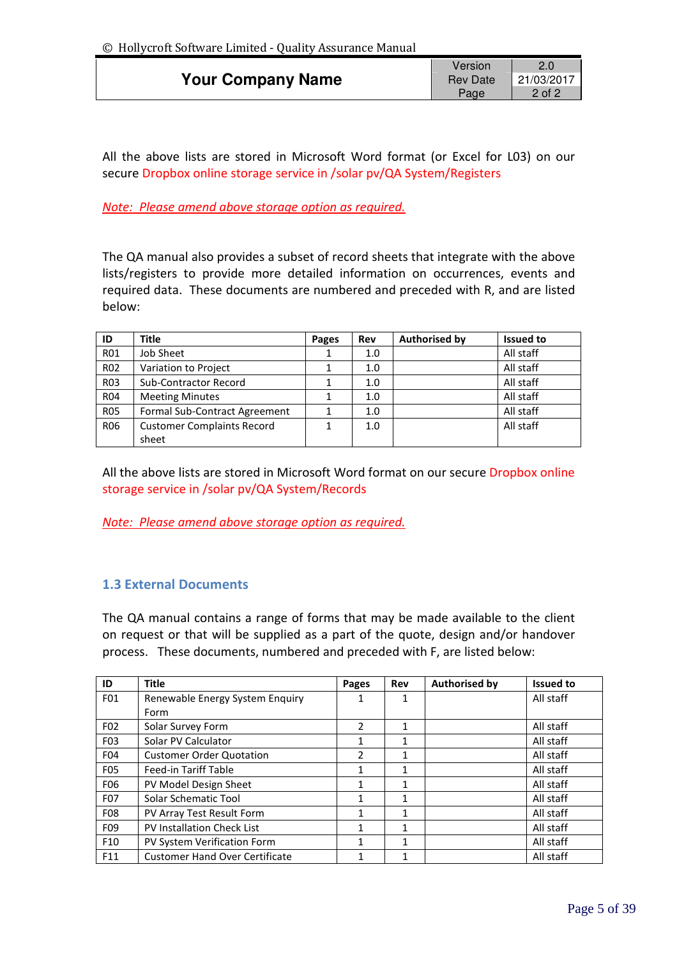|                          | Version             |          |
|--------------------------|---------------------|----------|
| <b>Your Company Name</b> | Rev Date 21/03/2017 |          |
|                          | Page                | $2$ of 2 |

All the above lists are stored in Microsoft Word format (or Excel for L03) on our secure Dropbox online storage service in /solar pv/QA System/Registers

*Note: Please amend above storage option as required.*

The QA manual also provides a subset of record sheets that integrate with the above lists/registers to provide more detailed information on occurrences, events and required data. These documents are numbered and preceded with R, and are listed below:

| ID         | Title                                | Pages | Rev | <b>Authorised by</b> | <b>Issued to</b> |
|------------|--------------------------------------|-------|-----|----------------------|------------------|
| <b>R01</b> | Job Sheet                            |       | 1.0 |                      | All staff        |
| <b>R02</b> | Variation to Project                 |       | 1.0 |                      | All staff        |
| <b>R03</b> | <b>Sub-Contractor Record</b>         |       | 1.0 |                      | All staff        |
| <b>R04</b> | <b>Meeting Minutes</b>               |       | 1.0 |                      | All staff        |
| <b>R05</b> | <b>Formal Sub-Contract Agreement</b> |       | 1.0 |                      | All staff        |
| <b>R06</b> | <b>Customer Complaints Record</b>    | 1     | 1.0 |                      | All staff        |
|            | sheet                                |       |     |                      |                  |

All the above lists are stored in Microsoft Word format on our secure Dropbox online storage service in /solar pv/QA System/Records

*Note: Please amend above storage option as required.*

#### **1.3 External Documents**

The QA manual contains a range of forms that may be made available to the client on request or that will be supplied as a part of the quote, design and/or handover process. These documents, numbered and preceded with F, are listed below:

| ID               | <b>Title</b>                          | Pages         | Rev | <b>Authorised by</b> | <b>Issued to</b> |
|------------------|---------------------------------------|---------------|-----|----------------------|------------------|
| F <sub>01</sub>  | Renewable Energy System Enquiry       | 1             | 1   |                      | All staff        |
|                  | Form                                  |               |     |                      |                  |
| F <sub>02</sub>  | Solar Survey Form                     | $\mathcal{P}$ | 1   |                      | All staff        |
| F <sub>0</sub> 3 | Solar PV Calculator                   |               | 1   |                      | All staff        |
| F04              | <b>Customer Order Quotation</b>       | $\mathcal{P}$ | 1   |                      | All staff        |
| <b>F05</b>       | Feed-in Tariff Table                  | 1             | 1   |                      | All staff        |
| F06              | PV Model Design Sheet                 | 1             | 1   |                      | All staff        |
| F07              | <b>Solar Schematic Tool</b>           | 1             | 1   |                      | All staff        |
| <b>F08</b>       | PV Array Test Result Form             | 1             | 1   |                      | All staff        |
| F <sub>09</sub>  | <b>PV Installation Check List</b>     | 1             | 1   |                      | All staff        |
| F10              | PV System Verification Form           | 1             | 1   |                      | All staff        |
| F11              | <b>Customer Hand Over Certificate</b> | 1             | 1   |                      | All staff        |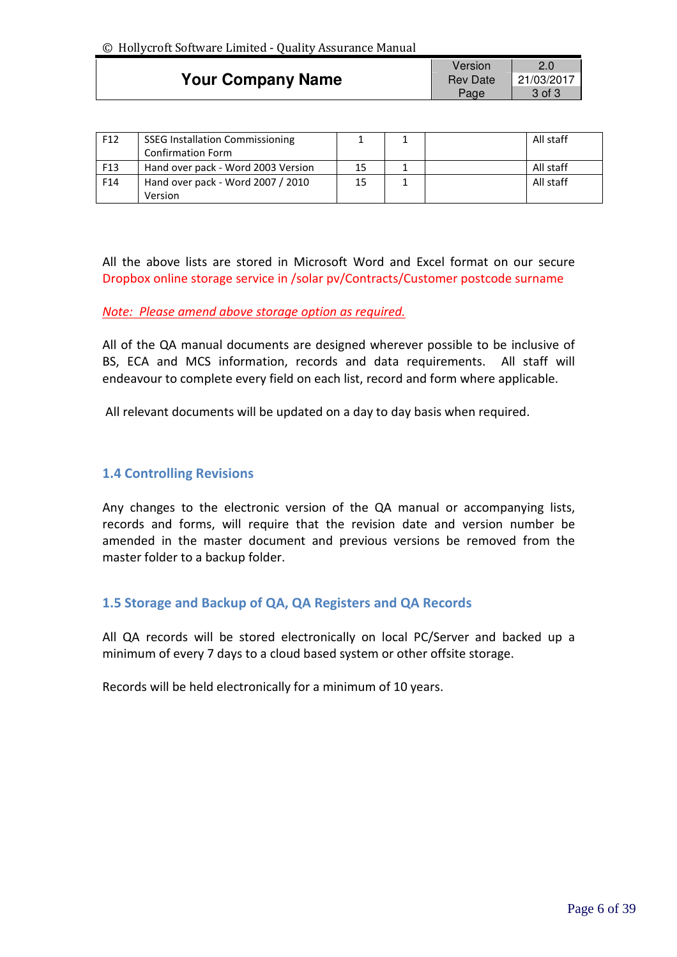|                          | Version         |                   |
|--------------------------|-----------------|-------------------|
| <b>Your Company Name</b> | <b>Rev Date</b> | $\mid$ 21/03/2017 |
|                          | Page            | $3$ of $3$        |

| F <sub>12</sub> | <b>SSEG Installation Commissioning</b> |    |  | All staff |
|-----------------|----------------------------------------|----|--|-----------|
|                 | <b>Confirmation Form</b>               |    |  |           |
| F <sub>13</sub> | Hand over pack - Word 2003 Version     | 15 |  | All staff |
| F14             | Hand over pack - Word 2007 / 2010      | 15 |  | All staff |
|                 | Version                                |    |  |           |

All the above lists are stored in Microsoft Word and Excel format on our secure Dropbox online storage service in /solar pv/Contracts/Customer postcode surname

#### *Note: Please amend above storage option as required.*

All of the QA manual documents are designed wherever possible to be inclusive of BS, ECA and MCS information, records and data requirements. All staff will endeavour to complete every field on each list, record and form where applicable.

All relevant documents will be updated on a day to day basis when required.

## **1.4 Controlling Revisions**

Any changes to the electronic version of the QA manual or accompanying lists, records and forms, will require that the revision date and version number be amended in the master document and previous versions be removed from the master folder to a backup folder.

#### **1.5 Storage and Backup of QA, QA Registers and QA Records**

All QA records will be stored electronically on local PC/Server and backed up a minimum of every 7 days to a cloud based system or other offsite storage.

Records will be held electronically for a minimum of 10 years.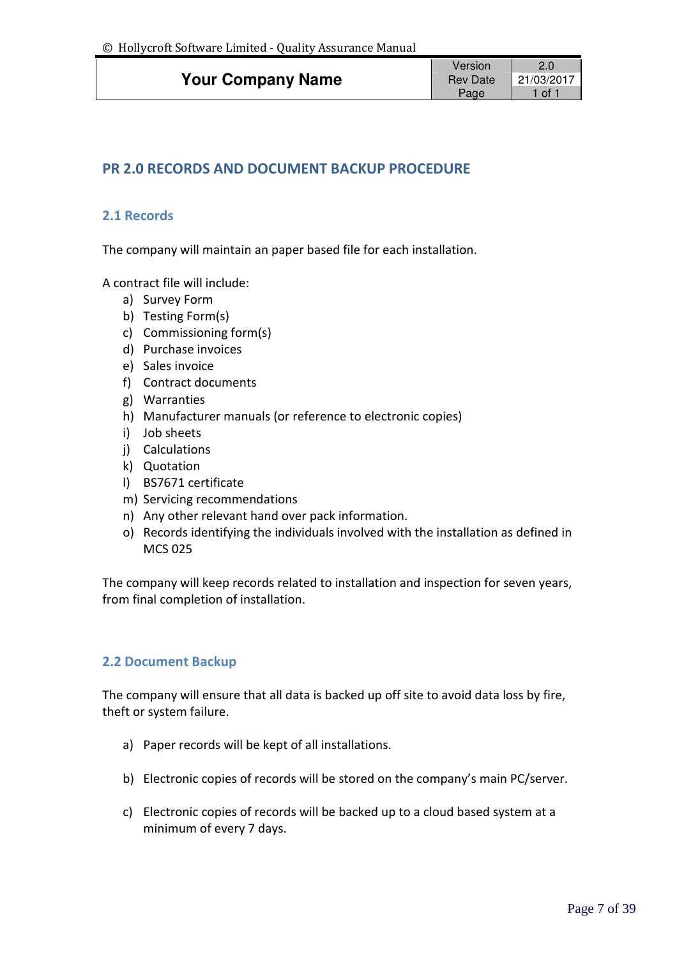|                          | Version             |         |
|--------------------------|---------------------|---------|
| <b>Your Company Name</b> | Rev Date 21/03/2017 |         |
|                          | Page                | 1 of 1. |

# **PR 2.0 RECORDS AND DOCUMENT BACKUP PROCEDURE**

#### **2.1 Records**

The company will maintain an paper based file for each installation.

A contract file will include:

- a) Survey Form
- b) Testing Form(s)
- c) Commissioning form(s)
- d) Purchase invoices
- e) Sales invoice
- f) Contract documents
- g) Warranties
- h) Manufacturer manuals (or reference to electronic copies)
- i) Job sheets
- j) Calculations
- k) Quotation
- l) BS7671 certificate
- m) Servicing recommendations
- n) Any other relevant hand over pack information.
- o) Records identifying the individuals involved with the installation as defined in MCS 025

The company will keep records related to installation and inspection for seven years, from final completion of installation.

#### **2.2 Document Backup**

The company will ensure that all data is backed up off site to avoid data loss by fire, theft or system failure.

- a) Paper records will be kept of all installations.
- b) Electronic copies of records will be stored on the company's main PC/server.
- c) Electronic copies of records will be backed up to a cloud based system at a minimum of every 7 days.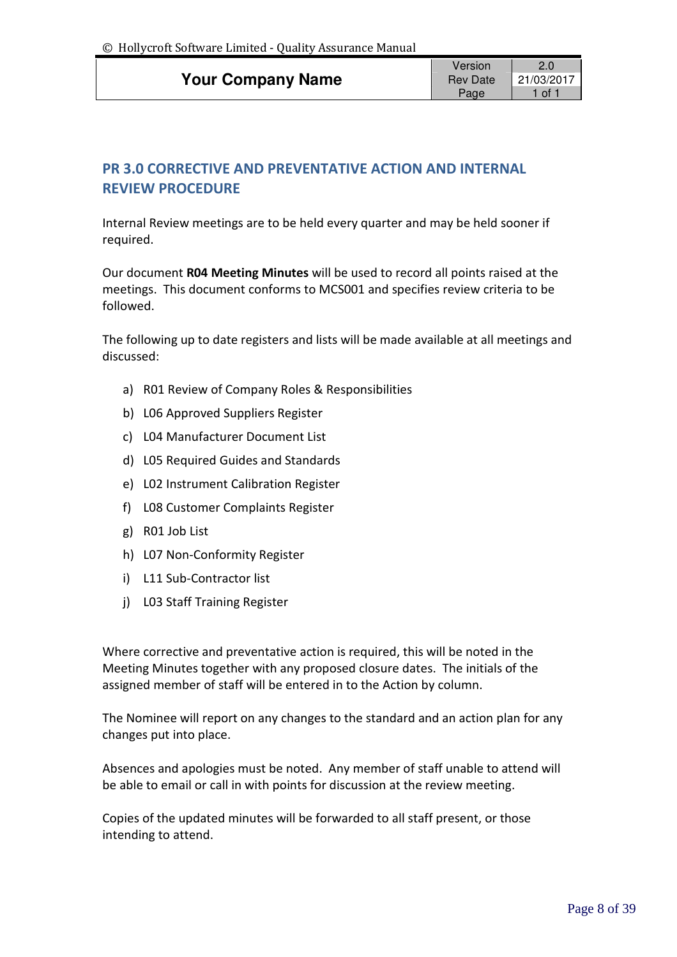|                          | <b>Version</b>        |        |
|--------------------------|-----------------------|--------|
| <b>Your Company Name</b> | Rev Date   21/03/2017 |        |
|                          | Page                  | 1 of 1 |

# **PR 3.0 CORRECTIVE AND PREVENTATIVE ACTION AND INTERNAL REVIEW PROCEDURE**

Internal Review meetings are to be held every quarter and may be held sooner if required.

Our document **R04 Meeting Minutes** will be used to record all points raised at the meetings. This document conforms to MCS001 and specifies review criteria to be followed.

The following up to date registers and lists will be made available at all meetings and discussed:

- a) R01 Review of Company Roles & Responsibilities
- b) L06 Approved Suppliers Register
- c) L04 Manufacturer Document List
- d) L05 Required Guides and Standards
- e) L02 Instrument Calibration Register
- f) L08 Customer Complaints Register
- g) R01 Job List
- h) L07 Non-Conformity Register
- i) L11 Sub-Contractor list
- j) L03 Staff Training Register

Where corrective and preventative action is required, this will be noted in the Meeting Minutes together with any proposed closure dates. The initials of the assigned member of staff will be entered in to the Action by column.

The Nominee will report on any changes to the standard and an action plan for any changes put into place.

Absences and apologies must be noted. Any member of staff unable to attend will be able to email or call in with points for discussion at the review meeting.

Copies of the updated minutes will be forwarded to all staff present, or those intending to attend.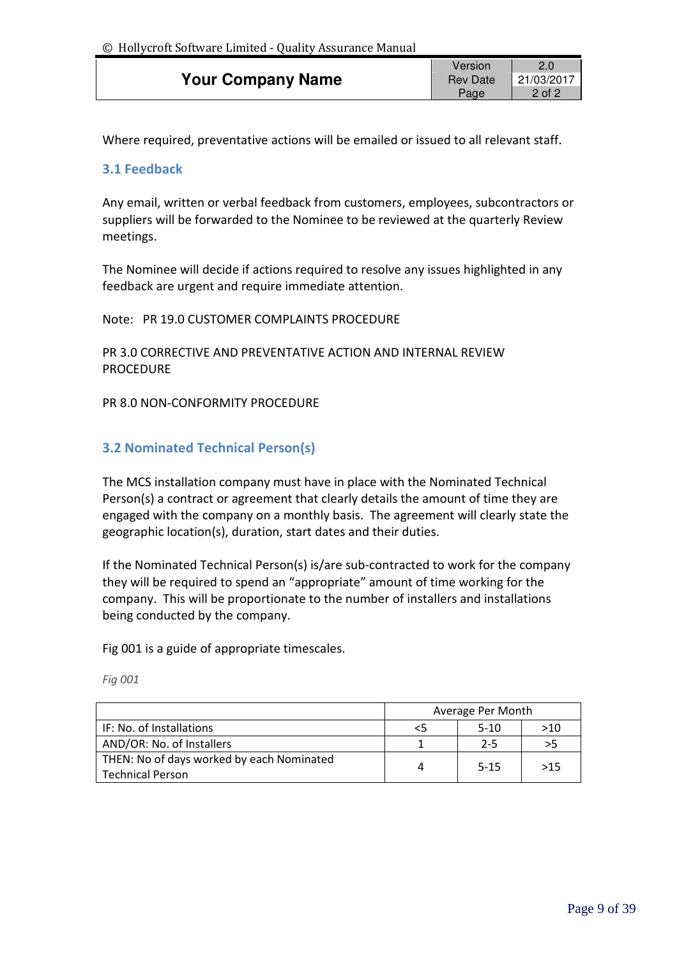|                          | Version |                       |
|--------------------------|---------|-----------------------|
| <b>Your Company Name</b> |         | Rev Date   21/03/2017 |
|                          | Page    | 2 of 2                |

Where required, preventative actions will be emailed or issued to all relevant staff.

#### **3.1 Feedback**

Any email, written or verbal feedback from customers, employees, subcontractors or suppliers will be forwarded to the Nominee to be reviewed at the quarterly Review meetings.

The Nominee will decide if actions required to resolve any issues highlighted in any feedback are urgent and require immediate attention.

Note: PR 19.0 CUSTOMER COMPLAINTS PROCEDURE

PR 3.0 CORRECTIVE AND PREVENTATIVE ACTION AND INTERNAL REVIEW PROCEDURE

PR 8.0 NON-CONFORMITY PROCEDURE

## **3.2 Nominated Technical Person(s)**

The MCS installation company must have in place with the Nominated Technical Person(s) a contract or agreement that clearly details the amount of time they are engaged with the company on a monthly basis. The agreement will clearly state the geographic location(s), duration, start dates and their duties.

If the Nominated Technical Person(s) is/are sub-contracted to work for the company they will be required to spend an "appropriate" amount of time working for the company. This will be proportionate to the number of installers and installations being conducted by the company.

Fig 001 is a guide of appropriate timescales.

*Fig 001*

|                                           | Average Per Month |          |     |
|-------------------------------------------|-------------------|----------|-----|
| IF: No. of Installations                  | <5                | $5-10$   | >10 |
| AND/OR: No. of Installers                 |                   | $2-5$    | >5  |
| THEN: No of days worked by each Nominated | 4                 | $5 - 15$ | >15 |
| <b>Technical Person</b>                   |                   |          |     |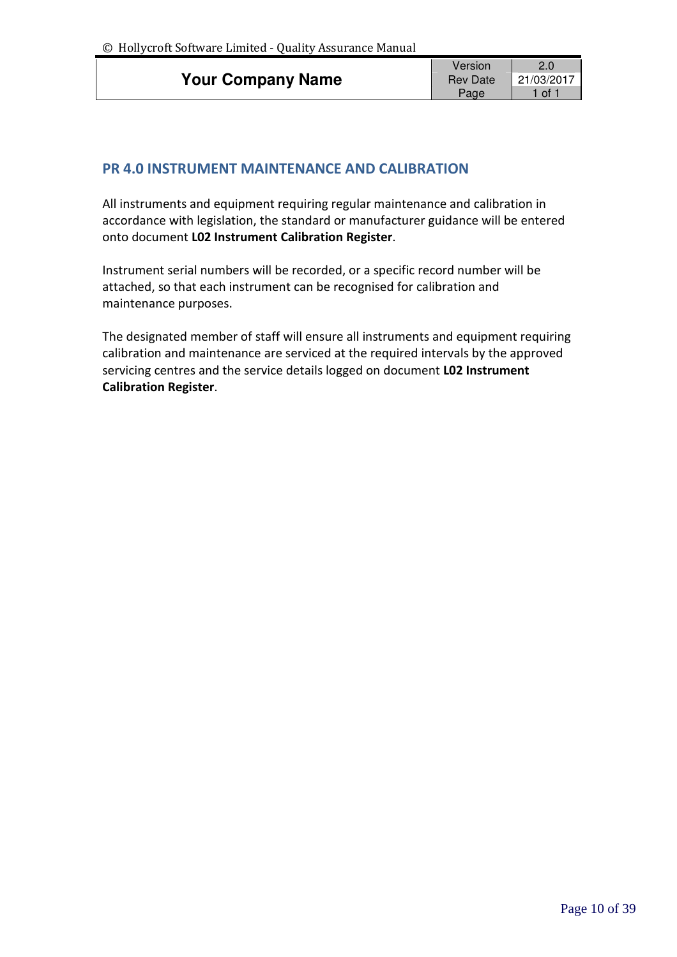|                          | Version               |        |
|--------------------------|-----------------------|--------|
| <b>Your Company Name</b> | Rev Date   21/03/2017 |        |
|                          | Page                  | 1 of 1 |

# **PR 4.0 INSTRUMENT MAINTENANCE AND CALIBRATION**

All instruments and equipment requiring regular maintenance and calibration in accordance with legislation, the standard or manufacturer guidance will be entered onto document **L02 Instrument Calibration Register**.

Instrument serial numbers will be recorded, or a specific record number will be attached, so that each instrument can be recognised for calibration and maintenance purposes.

The designated member of staff will ensure all instruments and equipment requiring calibration and maintenance are serviced at the required intervals by the approved servicing centres and the service details logged on document **L02 Instrument Calibration Register**.